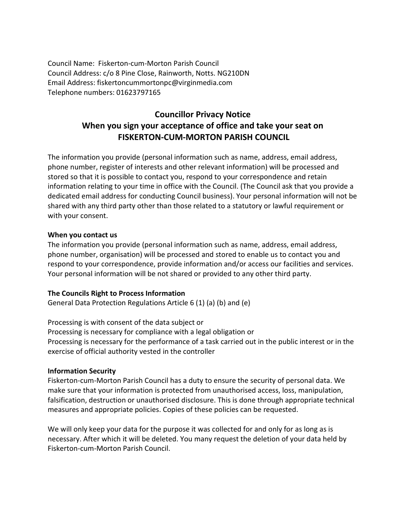Council Name: Fiskerton-cum-Morton Parish Council Council Address: c/o 8 Pine Close, Rainworth, Notts. NG210DN Email Address: fiskertoncummortonpc@virginmedia.com Telephone numbers: 01623797165

# Councillor Privacy Notice When you sign your acceptance of office and take your seat on FISKERTON-CUM-MORTON PARISH COUNCIL

The information you provide (personal information such as name, address, email address, phone number, register of interests and other relevant information) will be processed and stored so that it is possible to contact you, respond to your correspondence and retain information relating to your time in office with the Council. (The Council ask that you provide a dedicated email address for conducting Council business). Your personal information will not be shared with any third party other than those related to a statutory or lawful requirement or with your consent.

## When you contact us

The information you provide (personal information such as name, address, email address, phone number, organisation) will be processed and stored to enable us to contact you and respond to your correspondence, provide information and/or access our facilities and services. Your personal information will be not shared or provided to any other third party.

## The Councils Right to Process Information

General Data Protection Regulations Article 6 (1) (a) (b) and (e)

Processing is with consent of the data subject or Processing is necessary for compliance with a legal obligation or Processing is necessary for the performance of a task carried out in the public interest or in the exercise of official authority vested in the controller

## Information Security

Fiskerton-cum-Morton Parish Council has a duty to ensure the security of personal data. We make sure that your information is protected from unauthorised access, loss, manipulation, falsification, destruction or unauthorised disclosure. This is done through appropriate technical measures and appropriate policies. Copies of these policies can be requested.

We will only keep your data for the purpose it was collected for and only for as long as is necessary. After which it will be deleted. You many request the deletion of your data held by Fiskerton-cum-Morton Parish Council.